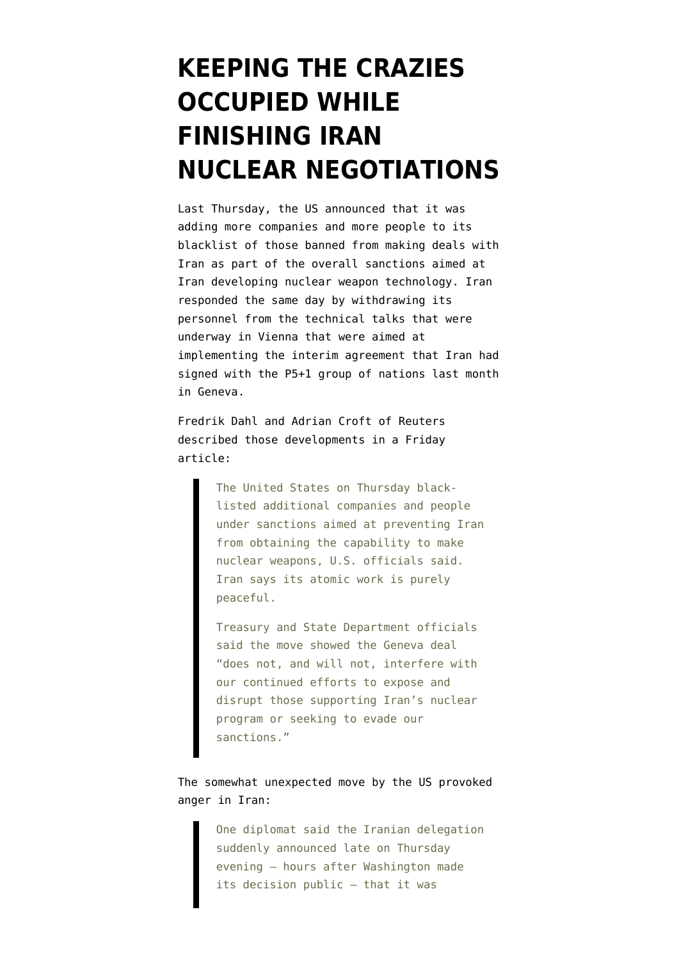## **[KEEPING THE CRAZIES](https://www.emptywheel.net/2013/12/17/keeping-the-crazies-occupied-while-finishing-iran-nuclear-negotiations/) [OCCUPIED WHILE](https://www.emptywheel.net/2013/12/17/keeping-the-crazies-occupied-while-finishing-iran-nuclear-negotiations/) [FINISHING IRAN](https://www.emptywheel.net/2013/12/17/keeping-the-crazies-occupied-while-finishing-iran-nuclear-negotiations/) [NUCLEAR NEGOTIATIONS](https://www.emptywheel.net/2013/12/17/keeping-the-crazies-occupied-while-finishing-iran-nuclear-negotiations/)**

Last Thursday, the US announced that it was adding more companies and more people to its blacklist of those banned from making deals with Iran as part of the overall sanctions aimed at Iran developing nuclear weapon technology. Iran responded the same day by withdrawing its personnel from the technical talks that were underway in Vienna that were aimed at implementing the interim agreement that Iran had signed with the P5+1 group of nations last month in Geneva.

[Fredrik Dahl and Adrian Croft of Reuters](http://www.reuters.com/article/2013/12/13/us-iran-nuclear-sanctions-idUSBRE9BC0CY20131213) described those developments in a Friday article:

> The United States on Thursday blacklisted additional companies and people under sanctions aimed at preventing Iran from obtaining the capability to make nuclear weapons, U.S. officials said. Iran says its atomic work is purely peaceful.

Treasury and State Department officials said the move showed the Geneva deal "does not, and will not, interfere with our continued efforts to expose and disrupt those supporting Iran's nuclear program or seeking to evade our sanctions."

The somewhat unexpected move by the US provoked anger in Iran:

> One diplomat said the Iranian delegation suddenly announced late on Thursday evening – hours after Washington made its decision public – that it was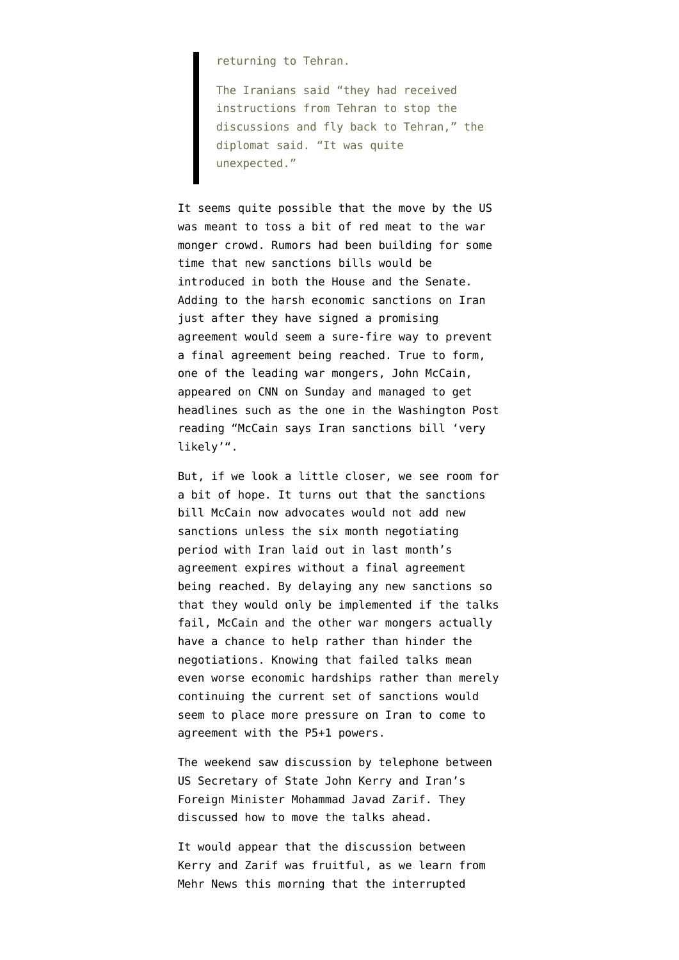returning to Tehran.

The Iranians said "they had received instructions from Tehran to stop the discussions and fly back to Tehran," the diplomat said. "It was quite unexpected."

It seems quite possible that the move by the US was meant to toss a bit of red meat to the war monger crowd. Rumors had been building for some time that new sanctions bills would be introduced in both the House and the Senate. Adding to the harsh economic sanctions on Iran just after they have signed a promising agreement would seem a sure-fire way to prevent a final agreement being reached. True to form, one of the leading war mongers, John McCain, appeared on CNN on Sunday and managed to get headlines such as the one in the Washington Post reading "[McCain says Iran sanctions bill 'very](http://www.washingtonpost.com/blogs/post-politics/wp/2013/12/15/mccain-says-iran-sanctions-bill-very-likely/?wprss=rss_homepage&clsrd) [likely'"](http://www.washingtonpost.com/blogs/post-politics/wp/2013/12/15/mccain-says-iran-sanctions-bill-very-likely/?wprss=rss_homepage&clsrd).

But, if we look a little closer, we see room for a bit of hope. It turns out that the sanctions bill McCain now advocates would not add new sanctions unless the six month negotiating period with Iran laid out in last month's agreement expires without a final agreement being reached. By delaying any new sanctions so that they would only be implemented if the talks fail, McCain and the other war mongers actually have a chance to help rather than hinder the negotiations. Knowing that failed talks mean even worse economic hardships rather than merely continuing the current set of sanctions would seem to place more pressure on Iran to come to agreement with the P5+1 powers.

The weekend saw discussion by telephone between US Secretary of State John Kerry and Iran's Foreign Minister Mohammad Javad Zarif. They [discussed how to move the talks ahead](http://backchannel.al-monitor.com/index.php/2013/12/7286/kerry-zarif-discuss-way-forward-on-iran-nuclear-deal/?utm_source=rss&utm_medium=rss&utm_campaign=kerry-zarif-discuss-way-forward-on-iran-nuclear-deal).

It would appear that the discussion between Kerry and Zarif was fruitful, as we learn from Mehr News this morning that the interrupted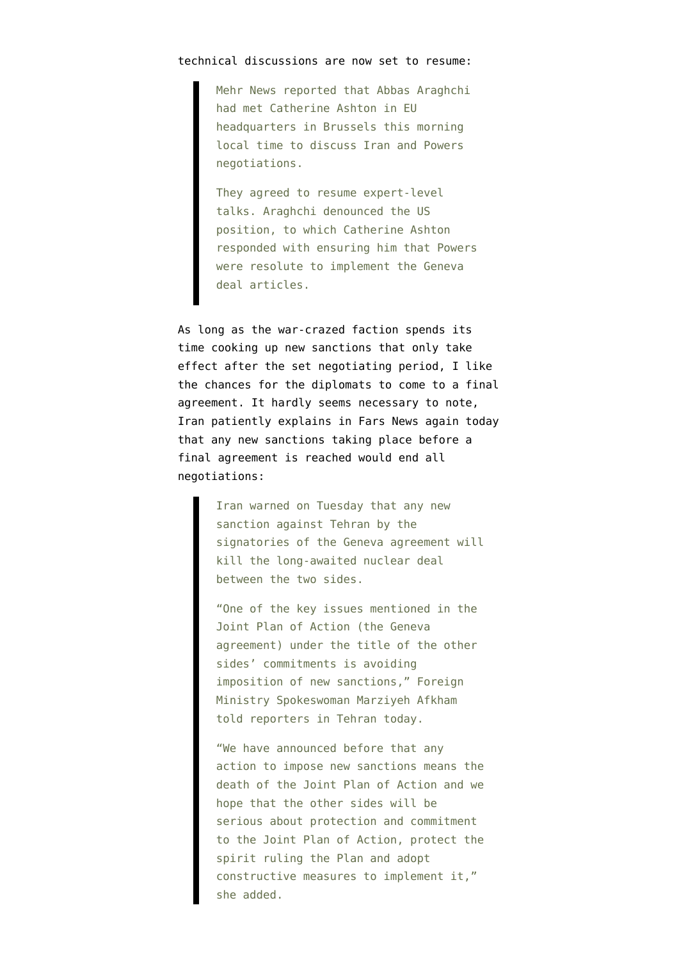## [technical discussions are now set to resume](http://en.mehrnews.com/detail/News/101234):

Mehr News reported that Abbas Araghchi had met Catherine Ashton in EU headquarters in Brussels this morning local time to discuss Iran and Powers negotiations.

They agreed to resume expert-level talks. Araghchi denounced the US position, to which Catherine Ashton responded with ensuring him that Powers were resolute to implement the Geneva deal articles.

As long as the war-crazed faction spends its time cooking up new sanctions that only take effect after the set negotiating period, I like the chances for the diplomats to come to a final agreement. It hardly seems necessary to note, [Iran patiently explains in Fars News again today](http://english.farsnews.com/newstext.aspx?nn=13920926000939) that any new sanctions taking place before a final agreement is reached would end all negotiations:

> Iran warned on Tuesday that any new sanction against Tehran by the signatories of the Geneva agreement will kill the long-awaited nuclear deal between the two sides.

"One of the key issues mentioned in the Joint Plan of Action (the Geneva agreement) under the title of the other sides' commitments is avoiding imposition of new sanctions," Foreign Ministry Spokeswoman Marziyeh Afkham told reporters in Tehran today.

"We have announced before that any action to impose new sanctions means the death of the Joint Plan of Action and we hope that the other sides will be serious about protection and commitment to the Joint Plan of Action, protect the spirit ruling the Plan and adopt constructive measures to implement it," she added.